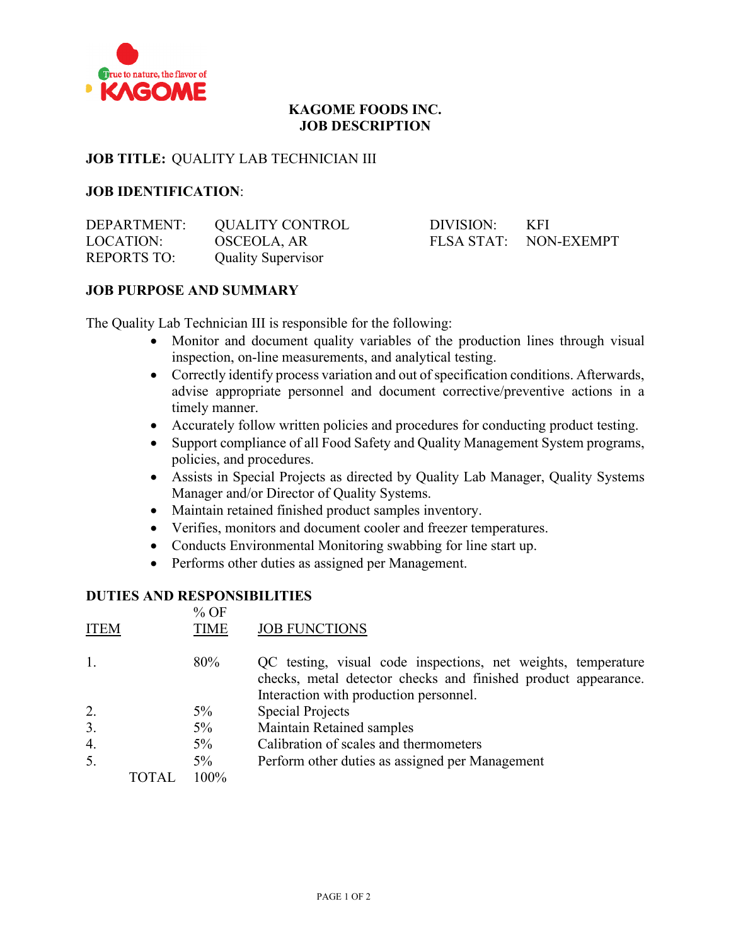

# **KAGOME FOODS INC. JOB DESCRIPTION**

# **JOB TITLE:** QUALITY LAB TECHNICIAN III

# **JOB IDENTIFICATION**:

| DEPARTMENT:        | QUALITY CONTROL           | DIVISION: | - KFI                 |
|--------------------|---------------------------|-----------|-----------------------|
| LOCATION:          | OSCEOLA, AR               |           | FLSA STAT: NON-EXEMPT |
| <b>REPORTS TO:</b> | <b>Quality Supervisor</b> |           |                       |

# **JOB PURPOSE AND SUMMARY**

The Quality Lab Technician III is responsible for the following:

- Monitor and document quality variables of the production lines through visual inspection, on-line measurements, and analytical testing.
- Correctly identify process variation and out of specification conditions. Afterwards, advise appropriate personnel and document corrective/preventive actions in a timely manner.
- Accurately follow written policies and procedures for conducting product testing.
- Support compliance of all Food Safety and Quality Management System programs, policies, and procedures.
- Assists in Special Projects as directed by Quality Lab Manager, Quality Systems Manager and/or Director of Quality Systems.
- Maintain retained finished product samples inventory.
- Verifies, monitors and document cooler and freezer temperatures.
- Conducts Environmental Monitoring swabbing for line start up.
- Performs other duties as assigned per Management.

#### **DUTIES AND RESPONSIBILITIES**  $0/2$  OF

| ITEM         | 70 UT<br><b>TIME</b> | <b>JOB FUNCTIONS</b>                                                                                                                                                      |
|--------------|----------------------|---------------------------------------------------------------------------------------------------------------------------------------------------------------------------|
| 1.           | 80%                  | QC testing, visual code inspections, net weights, temperature<br>checks, metal detector checks and finished product appearance.<br>Interaction with production personnel. |
| 2.           | $5\%$                | Special Projects                                                                                                                                                          |
| 3.           | $5\%$                | <b>Maintain Retained samples</b>                                                                                                                                          |
| 4.           | $5\%$                | Calibration of scales and thermometers                                                                                                                                    |
| 5.           | $5\%$                | Perform other duties as assigned per Management                                                                                                                           |
| <b>TOTAL</b> | 100%                 |                                                                                                                                                                           |
|              |                      |                                                                                                                                                                           |